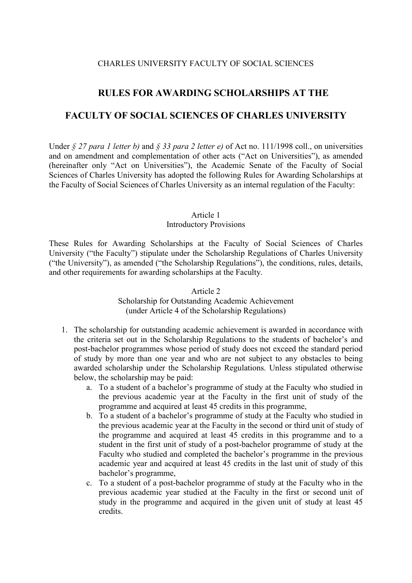## CHARLES UNIVERSITY FACULTY OF SOCIAL SCIENCES

# **RULES FOR AWARDING SCHOLARSHIPS AT THE**

## **FACULTY OF SOCIAL SCIENCES OF CHARLES UNIVERSITY**

Under *§ 27 para 1 letter b)* and *§ 33 para 2 letter e)* of Act no. 111/1998 coll., on universities and on amendment and complementation of other acts ("Act on Universities"), as amended (hereinafter only "Act on Universities"), the Academic Senate of the Faculty of Social Sciences of Charles University has adopted the following Rules for Awarding Scholarships at the Faculty of Social Sciences of Charles University as an internal regulation of the Faculty:

#### Article 1

#### Introductory Provisions

These Rules for Awarding Scholarships at the Faculty of Social Sciences of Charles University ("the Faculty") stipulate under the Scholarship Regulations of Charles University ("the University"), as amended ("the Scholarship Regulations"), the conditions, rules, details, and other requirements for awarding scholarships at the Faculty.

> Article 2 Scholarship for Outstanding Academic Achievement (under Article 4 of the Scholarship Regulations)

- 1. The scholarship for outstanding academic achievement is awarded in accordance with the criteria set out in the Scholarship Regulations to the students of bachelor's and post-bachelor programmes whose period of study does not exceed the standard period of study by more than one year and who are not subject to any obstacles to being awarded scholarship under the Scholarship Regulations. Unless stipulated otherwise below, the scholarship may be paid:
	- a. To a student of a bachelor's programme of study at the Faculty who studied in the previous academic year at the Faculty in the first unit of study of the programme and acquired at least 45 credits in this programme,
	- b. To a student of a bachelor's programme of study at the Faculty who studied in the previous academic year at the Faculty in the second or third unit of study of the programme and acquired at least 45 credits in this programme and to a student in the first unit of study of a post-bachelor programme of study at the Faculty who studied and completed the bachelor's programme in the previous academic year and acquired at least 45 credits in the last unit of study of this bachelor's programme,
	- c. To a student of a post-bachelor programme of study at the Faculty who in the previous academic year studied at the Faculty in the first or second unit of study in the programme and acquired in the given unit of study at least 45 credits.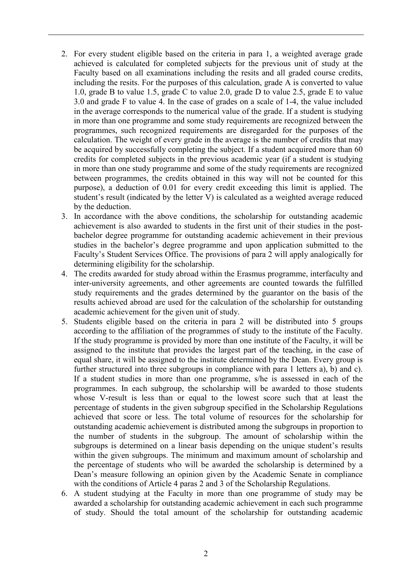- 2. For every student eligible based on the criteria in para 1, a weighted average grade achieved is calculated for completed subjects for the previous unit of study at the Faculty based on all examinations including the resits and all graded course credits, including the resits. For the purposes of this calculation, grade A is converted to value 1.0, grade B to value 1.5, grade C to value 2.0, grade D to value 2.5, grade E to value 3.0 and grade F to value 4. In the case of grades on a scale of 1-4, the value included in the average corresponds to the numerical value of the grade. If a student is studying in more than one programme and some study requirements are recognized between the programmes, such recognized requirements are disregarded for the purposes of the calculation. The weight of every grade in the average is the number of credits that may be acquired by successfully completing the subject. If a student acquired more than 60 credits for completed subjects in the previous academic year (if a student is studying in more than one study programme and some of the study requirements are recognized between programmes, the credits obtained in this way will not be counted for this purpose), a deduction of 0.01 for every credit exceeding this limit is applied. The student's result (indicated by the letter V) is calculated as a weighted average reduced by the deduction.
- 3. In accordance with the above conditions, the scholarship for outstanding academic achievement is also awarded to students in the first unit of their studies in the postbachelor degree programme for outstanding academic achievement in their previous studies in the bachelor's degree programme and upon application submitted to the Faculty's Student Services Office. The provisions of para 2 will apply analogically for determining eligibility for the scholarship.
- 4. The credits awarded for study abroad within the Erasmus programme, interfaculty and inter-university agreements, and other agreements are counted towards the fulfilled study requirements and the grades determined by the guarantor on the basis of the results achieved abroad are used for the calculation of the scholarship for outstanding academic achievement for the given unit of study.
- 5. Students eligible based on the criteria in para 2 will be distributed into 5 groups according to the affiliation of the programmes of study to the institute of the Faculty. If the study programme is provided by more than one institute of the Faculty, it will be assigned to the institute that provides the largest part of the teaching, in the case of equal share, it will be assigned to the institute determined by the Dean. Every group is further structured into three subgroups in compliance with para 1 letters a), b) and c). If a student studies in more than one programme, s/he is assessed in each of the programmes. In each subgroup, the scholarship will be awarded to those students whose V-result is less than or equal to the lowest score such that at least the percentage of students in the given subgroup specified in the Scholarship Regulations achieved that score or less. The total volume of resources for the scholarship for outstanding academic achievement is distributed among the subgroups in proportion to the number of students in the subgroup. The amount of scholarship within the subgroups is determined on a linear basis depending on the unique student's results within the given subgroups. The minimum and maximum amount of scholarship and the percentage of students who will be awarded the scholarship is determined by a Dean's measure following an opinion given by the Academic Senate in compliance with the conditions of Article 4 paras 2 and 3 of the Scholarship Regulations.
- 6. A student studying at the Faculty in more than one programme of study may be awarded a scholarship for outstanding academic achievement in each such programme of study. Should the total amount of the scholarship for outstanding academic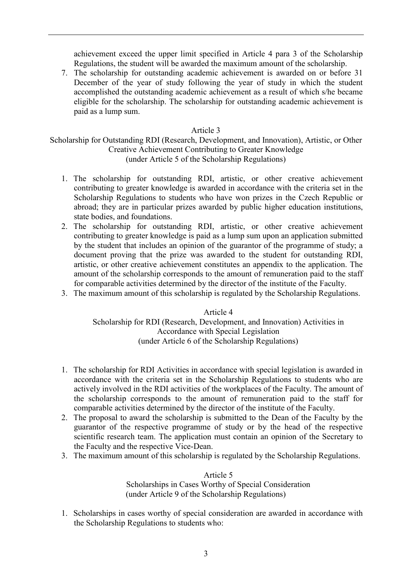achievement exceed the upper limit specified in Article 4 para 3 of the Scholarship Regulations, the student will be awarded the maximum amount of the scholarship.

7. The scholarship for outstanding academic achievement is awarded on or before 31 December of the year of study following the year of study in which the student accomplished the outstanding academic achievement as a result of which s/he became eligible for the scholarship. The scholarship for outstanding academic achievement is paid as a lump sum.

### Article 3

Scholarship for Outstanding RDI (Research, Development, and Innovation), Artistic, or Other Creative Achievement Contributing to Greater Knowledge (under Article 5 of the Scholarship Regulations)

- 1. The scholarship for outstanding RDI, artistic, or other creative achievement contributing to greater knowledge is awarded in accordance with the criteria set in the Scholarship Regulations to students who have won prizes in the Czech Republic or abroad; they are in particular prizes awarded by public higher education institutions, state bodies, and foundations.
- 2. The scholarship for outstanding RDI, artistic, or other creative achievement contributing to greater knowledge is paid as a lump sum upon an application submitted by the student that includes an opinion of the guarantor of the programme of study; a document proving that the prize was awarded to the student for outstanding RDI, artistic, or other creative achievement constitutes an appendix to the application. The amount of the scholarship corresponds to the amount of remuneration paid to the staff for comparable activities determined by the director of the institute of the Faculty.
- 3. The maximum amount of this scholarship is regulated by the Scholarship Regulations.

Article 4 Scholarship for RDI (Research, Development, and Innovation) Activities in Accordance with Special Legislation (under Article 6 of the Scholarship Regulations)

- 1. The scholarship for RDI Activities in accordance with special legislation is awarded in accordance with the criteria set in the Scholarship Regulations to students who are actively involved in the RDI activities of the workplaces of the Faculty. The amount of the scholarship corresponds to the amount of remuneration paid to the staff for comparable activities determined by the director of the institute of the Faculty.
- 2. The proposal to award the scholarship is submitted to the Dean of the Faculty by the guarantor of the respective programme of study or by the head of the respective scientific research team. The application must contain an opinion of the Secretary to the Faculty and the respective Vice-Dean.
- 3. The maximum amount of this scholarship is regulated by the Scholarship Regulations.

Article 5 Scholarships in Cases Worthy of Special Consideration (under Article 9 of the Scholarship Regulations)

1. Scholarships in cases worthy of special consideration are awarded in accordance with the Scholarship Regulations to students who: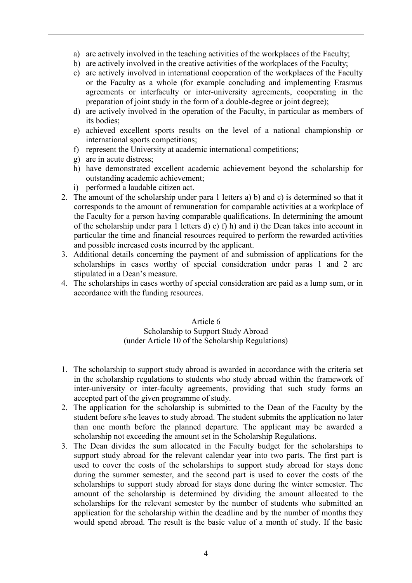- a) are actively involved in the teaching activities of the workplaces of the Faculty;
- b) are actively involved in the creative activities of the workplaces of the Faculty;
- c) are actively involved in international cooperation of the workplaces of the Faculty or the Faculty as a whole (for example concluding and implementing Erasmus agreements or interfaculty or inter-university agreements, cooperating in the preparation of joint study in the form of a double-degree or joint degree);
- d) are actively involved in the operation of the Faculty, in particular as members of its bodies;
- e) achieved excellent sports results on the level of a national championship or international sports competitions;
- f) represent the University at academic international competitions;
- g) are in acute distress;
- h) have demonstrated excellent academic achievement beyond the scholarship for outstanding academic achievement;
- i) performed a laudable citizen act.
- 2. The amount of the scholarship under para 1 letters a) b) and c) is determined so that it corresponds to the amount of remuneration for comparable activities at a workplace of the Faculty for a person having comparable qualifications. In determining the amount of the scholarship under para 1 letters d) e) f) h) and i) the Dean takes into account in particular the time and financial resources required to perform the rewarded activities and possible increased costs incurred by the applicant.
- 3. Additional details concerning the payment of and submission of applications for the scholarships in cases worthy of special consideration under paras 1 and 2 are stipulated in a Dean's measure.
- 4. The scholarships in cases worthy of special consideration are paid as a lump sum, or in accordance with the funding resources.

#### Article 6 Scholarship to Support Study Abroad (under Article 10 of the Scholarship Regulations)

- 1. The scholarship to support study abroad is awarded in accordance with the criteria set in the scholarship regulations to students who study abroad within the framework of inter-university or inter-faculty agreements, providing that such study forms an accepted part of the given programme of study.
- 2. The application for the scholarship is submitted to the Dean of the Faculty by the student before s/he leaves to study abroad. The student submits the application no later than one month before the planned departure. The applicant may be awarded a scholarship not exceeding the amount set in the Scholarship Regulations.
- 3. The Dean divides the sum allocated in the Faculty budget for the scholarships to support study abroad for the relevant calendar year into two parts. The first part is used to cover the costs of the scholarships to support study abroad for stays done during the summer semester, and the second part is used to cover the costs of the scholarships to support study abroad for stays done during the winter semester. The amount of the scholarship is determined by dividing the amount allocated to the scholarships for the relevant semester by the number of students who submitted an application for the scholarship within the deadline and by the number of months they would spend abroad. The result is the basic value of a month of study. If the basic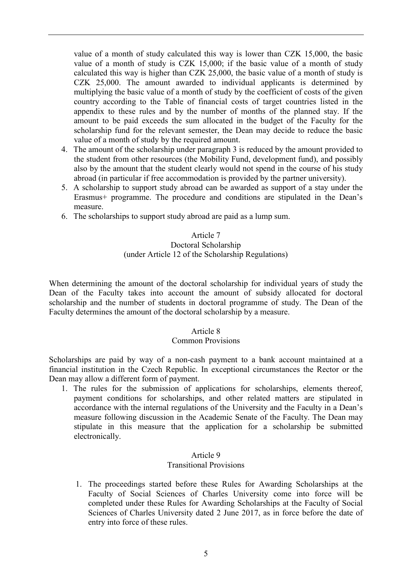value of a month of study calculated this way is lower than CZK 15,000, the basic value of a month of study is CZK 15,000; if the basic value of a month of study calculated this way is higher than CZK 25,000, the basic value of a month of study is CZK 25,000. The amount awarded to individual applicants is determined by multiplying the basic value of a month of study by the coefficient of costs of the given country according to the Table of financial costs of target countries listed in the appendix to these rules and by the number of months of the planned stay. If the amount to be paid exceeds the sum allocated in the budget of the Faculty for the scholarship fund for the relevant semester, the Dean may decide to reduce the basic value of a month of study by the required amount.

- 4. The amount of the scholarship under paragraph 3 is reduced by the amount provided to the student from other resources (the Mobility Fund, development fund), and possibly also by the amount that the student clearly would not spend in the course of his study abroad (in particular if free accommodation is provided by the partner university).
- 5. A scholarship to support study abroad can be awarded as support of a stay under the Erasmus+ programme. The procedure and conditions are stipulated in the Dean's measure.
- 6. The scholarships to support study abroad are paid as a lump sum.

#### Article 7 Doctoral Scholarship (under Article 12 of the Scholarship Regulations)

When determining the amount of the doctoral scholarship for individual years of study the Dean of the Faculty takes into account the amount of subsidy allocated for doctoral scholarship and the number of students in doctoral programme of study. The Dean of the Faculty determines the amount of the doctoral scholarship by a measure.

## Article 8

#### Common Provisions

Scholarships are paid by way of a non-cash payment to a bank account maintained at a financial institution in the Czech Republic. In exceptional circumstances the Rector or the Dean may allow a different form of payment.

1. The rules for the submission of applications for scholarships, elements thereof, payment conditions for scholarships, and other related matters are stipulated in accordance with the internal regulations of the University and the Faculty in a Dean's measure following discussion in the Academic Senate of the Faculty. The Dean may stipulate in this measure that the application for a scholarship be submitted electronically.

#### Article 9

## Transitional Provisions

1. The proceedings started before these Rules for Awarding Scholarships at the Faculty of Social Sciences of Charles University come into force will be completed under these Rules for Awarding Scholarships at the Faculty of Social Sciences of Charles University dated 2 June 2017, as in force before the date of entry into force of these rules.